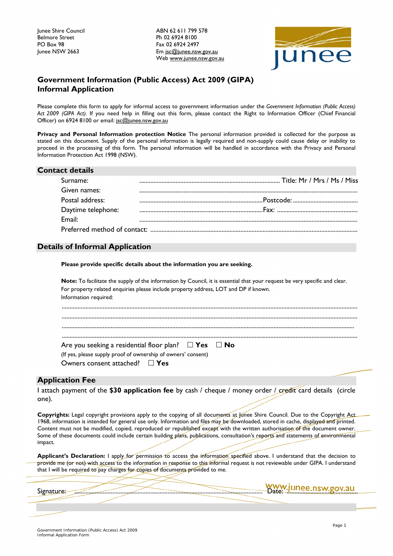Junee Shire Council ABN 62 611 799 578 Ph 02 6924 8100 Junee NSW 2663 **Em** jsc@junee.nsw.gov.au Web [www.junee.nsw.gov.au](http://www.junee.nsw.gov.au/)



## **Government Information (Public Access) Act 2009 (GIPA) Informal Application**

Please complete this form to apply for informal access to government information under the *Government Information (Public Access) Act 2009 (GIPA Act).* If you need help in filling out this form, please contact the Right to Information Officer (Chief Financial Officer) on 6924 8100 or email: jsc@junee.n[sw.gov.au](mailto:jsc@junee.nsw.gov.au)

**Privacy and Personal Information protection Notice** The personal information provided is collected for the purpose as stated on this document. Supply of the personal information is legally required and non-supply could cause delay or inability to proceed in the processing of this form. The personal information will be handled in accordance with the Privacy and Personal Information Protection Act 1998 (NSW).

| <b>Contact details</b> |  |
|------------------------|--|
| Surname:               |  |
| Given names:           |  |
| Postal address:        |  |
| Daytime telephone:     |  |
| Fmail:                 |  |
|                        |  |

## **Details of Informal Application**

**Please provide specific details about the information you are seeking.**

| <b>Note:</b> To facilitate the supply of the information by Council, it is essential that your request be very specific and clear.<br>For property related enquiries please include property address, LOT and DP if known.<br>Information required: |  |
|-----------------------------------------------------------------------------------------------------------------------------------------------------------------------------------------------------------------------------------------------------|--|
|                                                                                                                                                                                                                                                     |  |
|                                                                                                                                                                                                                                                     |  |
| Are you seeking a residential floor plan? $\Box$ Yes $\Box$ No<br>(If yes, please supply proof of ownership of owners' consent)<br>Owners consent attached? $\square$ Yes                                                                           |  |

## **Application Fee**

I attach payment of the **\$30 application fee** by cash / cheque / money order / credit card details (circle one).

**Copyrights:** Legal copyright provisions apply to the copying of all documents at Junee Shire Council. Due to the Copyright Act 1968, information is intended for general use only. Information and files may be downloaded, stored in cache, displayed and printed. Content must not be modified, copied, reproduced or republished except with the written authorisation of the document owner. Some of these documents could include certain building plans, publications, consultation's reports and statements of environmental impact.

**Applicant's Declaration:** I apply for permission to access the information specified above. I understand that the decision to provide me (or not) with access to the information in response to this informal request is not reviewable under GIPA. I understand that I will be required to pay charges for copies of documents provided to me.

Signature: ....................................................................................................................... Date: .............................................